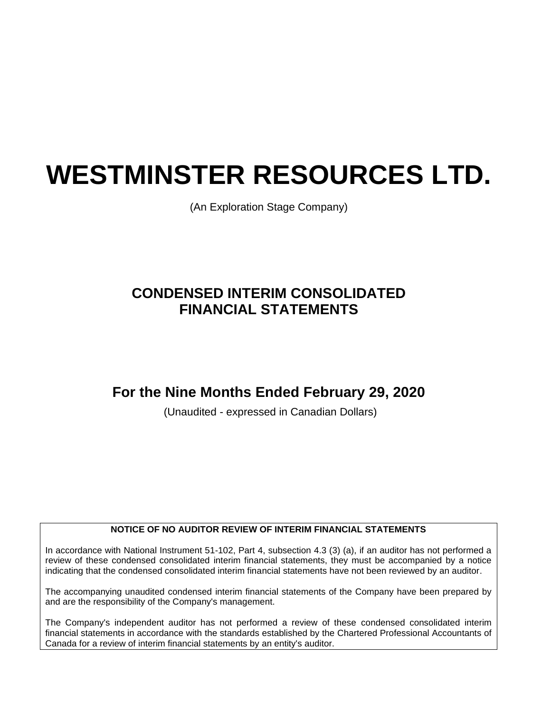# **WESTMINSTER RESOURCES LTD.**

(An Exploration Stage Company)

# **CONDENSED INTERIM CONSOLIDATED FINANCIAL STATEMENTS**

## **For the Nine Months Ended February 29, 2020**

(Unaudited - expressed in Canadian Dollars)

#### **NOTICE OF NO AUDITOR REVIEW OF INTERIM FINANCIAL STATEMENTS**

In accordance with National Instrument 51-102, Part 4, subsection 4.3 (3) (a), if an auditor has not performed a review of these condensed consolidated interim financial statements, they must be accompanied by a notice indicating that the condensed consolidated interim financial statements have not been reviewed by an auditor.

The accompanying unaudited condensed interim financial statements of the Company have been prepared by and are the responsibility of the Company's management.

The Company's independent auditor has not performed a review of these condensed consolidated interim financial statements in accordance with the standards established by the Chartered Professional Accountants of Canada for a review of interim financial statements by an entity's auditor.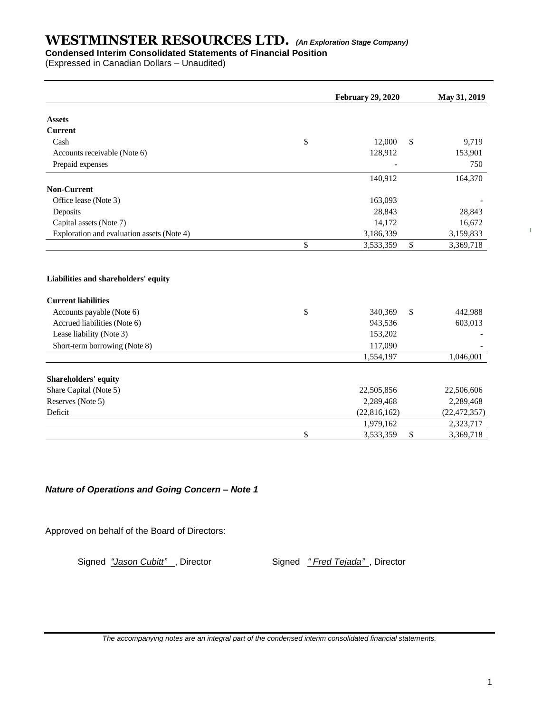## **Condensed Interim Consolidated Statements of Financial Position**

(Expressed in Canadian Dollars – Unaudited)

|                                            | <b>February 29, 2020</b> | May 31, 2019    |
|--------------------------------------------|--------------------------|-----------------|
| <b>Assets</b>                              |                          |                 |
| <b>Current</b>                             |                          |                 |
| Cash                                       | \$<br>12,000             | \$<br>9,719     |
| Accounts receivable (Note 6)               | 128,912                  | 153,901         |
| Prepaid expenses                           |                          | 750             |
|                                            | 140,912                  | 164,370         |
| <b>Non-Current</b>                         |                          |                 |
| Office lease (Note 3)                      | 163,093                  |                 |
| Deposits                                   | 28,843                   | 28,843          |
| Capital assets (Note 7)                    | 14,172                   | 16,672          |
| Exploration and evaluation assets (Note 4) | 3,186,339                | 3,159,833       |
|                                            | \$<br>3,533,359          | \$<br>3,369,718 |
| Liabilities and shareholders' equity       |                          |                 |
| <b>Current liabilities</b>                 |                          |                 |
| Accounts payable (Note 6)                  | \$<br>340,369            | \$<br>442,988   |
| Accrued liabilities (Note 6)               | 943,536                  | 603,013         |
| Lease liability (Note 3)                   | 153,202                  |                 |
| Short-term borrowing (Note 8)              | 117,090                  |                 |
|                                            | 1,554,197                | 1,046,001       |
| Shareholders' equity                       |                          |                 |
| Share Capital (Note 5)                     | 22,505,856               | 22,506,606      |
| Reserves (Note 5)                          | 2,289,468                | 2,289,468       |
| Deficit                                    | (22,816,162)             | (22, 472, 357)  |
|                                            | 1,979,162                | 2,323,717       |
|                                            | \$<br>3,533,359          | \$<br>3,369,718 |

#### *Nature of Operations and Going Concern – Note 1*

Approved on behalf of the Board of Directors:

Signed *"Jason Cubitt"*, Director Signed *" Fred Tejada"*, Director

*The accompanying notes are an integral part of the condensed interim consolidated financial statements.*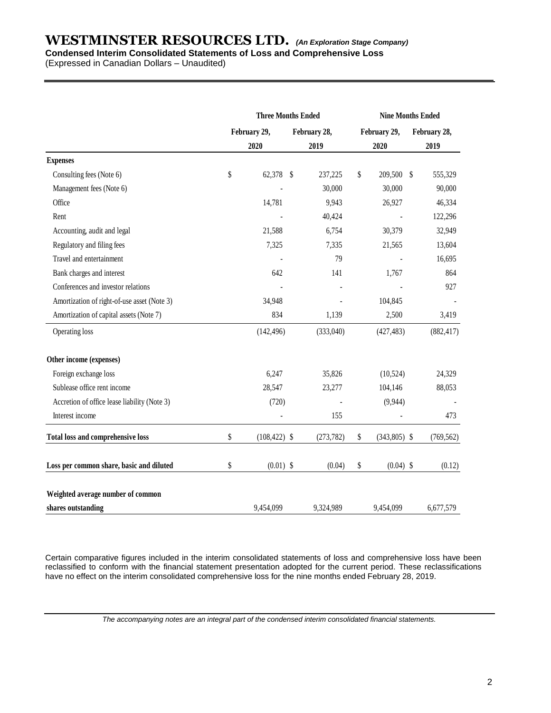## **Condensed Interim Consolidated Statements of Loss and Comprehensive Loss**

(Expressed in Canadian Dollars – Unaudited)

|                                              | <b>Three Months Ended</b> |                 |  |              |              | <b>Nine Months Ended</b> |      |              |  |
|----------------------------------------------|---------------------------|-----------------|--|--------------|--------------|--------------------------|------|--------------|--|
|                                              |                           | February 29,    |  | February 28, | February 29, |                          |      | February 28, |  |
|                                              |                           | 2020<br>2019    |  |              |              | 2020                     | 2019 |              |  |
| <b>Expenses</b>                              |                           |                 |  |              |              |                          |      |              |  |
| Consulting fees (Note 6)                     | \$                        | 62,378 \$       |  | 237,225      | \$           | 209,500 \$               |      | 555,329      |  |
| Management fees (Note 6)                     |                           |                 |  | 30,000       |              | 30,000                   |      | 90,000       |  |
| Office                                       |                           | 14,781          |  | 9,943        |              | 26,927                   |      | 46,334       |  |
| Rent                                         |                           |                 |  | 40,424       |              |                          |      | 122,296      |  |
| Accounting, audit and legal                  |                           | 21,588          |  | 6,754        |              | 30,379                   |      | 32,949       |  |
| Regulatory and filing fees                   |                           | 7,325           |  | 7,335        |              | 21,565                   |      | 13,604       |  |
| Travel and entertainment                     |                           |                 |  | 79           |              |                          |      | 16,695       |  |
| Bank charges and interest                    |                           | 642             |  | 141          |              | 1,767                    |      | 864          |  |
| Conferences and investor relations           |                           |                 |  |              |              |                          |      | 927          |  |
| Amortization of right-of-use asset (Note 3)  |                           | 34,948          |  |              |              | 104,845                  |      |              |  |
| Amortization of capital assets (Note 7)      |                           | 834             |  | 1,139        |              | 2,500                    |      | 3,419        |  |
| Operating loss                               |                           | (142, 496)      |  | (333,040)    |              | (427, 483)               |      | (882, 417)   |  |
| Other income (expenses)                      |                           |                 |  |              |              |                          |      |              |  |
| Foreign exchange loss                        |                           | 6,247           |  | 35,826       |              | (10,524)                 |      | 24,329       |  |
| Sublease office rent income                  |                           | 28,547          |  | 23,277       |              | 104,146                  |      | 88,053       |  |
| Accretion of office lease liability (Note 3) |                           | (720)           |  |              |              | (9,944)                  |      |              |  |
| Interest income                              |                           |                 |  | 155          |              |                          |      | 473          |  |
| Total loss and comprehensive loss            | \$                        | $(108, 422)$ \$ |  | (273, 782)   | \$           | $(343,805)$ \$           |      | (769, 562)   |  |
| Loss per common share, basic and diluted     | \$                        | $(0.01)$ \$     |  | (0.04)       | \$           | $(0.04)$ \$              |      | (0.12)       |  |
| Weighted average number of common            |                           |                 |  |              |              |                          |      |              |  |
| shares outstanding                           |                           | 9.454.099       |  | 9,324,989    |              | 9,454,099                |      | 6,677,579    |  |

Certain comparative figures included in the interim consolidated statements of loss and comprehensive loss have been reclassified to conform with the financial statement presentation adopted for the current period. These reclassifications have no effect on the interim consolidated comprehensive loss for the nine months ended February 28, 2019.

*The accompanying notes are an integral part of the condensed interim consolidated financial statements.*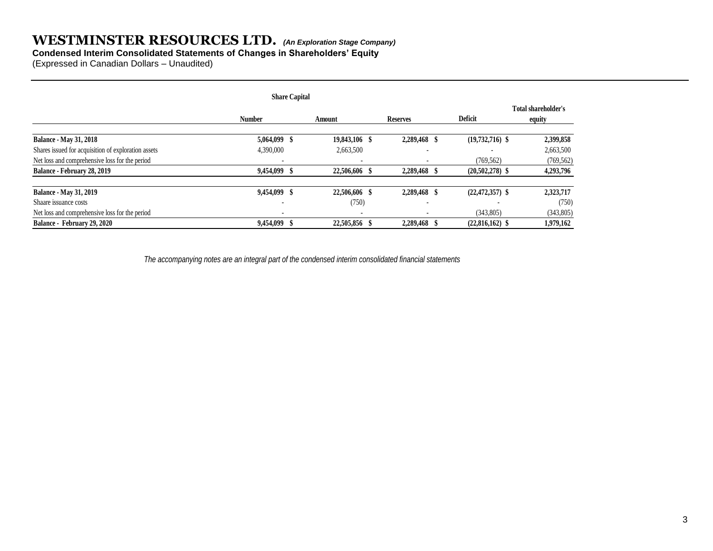#### **Condensed Interim Consolidated Statements of Changes in Shareholders' Equity**

(Expressed in Canadian Dollars – Unaudited)

|                                                     |                          | <b>Share Capital</b> |                          |                          |                     |                               |
|-----------------------------------------------------|--------------------------|----------------------|--------------------------|--------------------------|---------------------|-------------------------------|
|                                                     | <b>Number</b>            |                      | Amount                   | <b>Reserves</b>          | <b>Deficit</b>      | Total shareholder's<br>equity |
| <b>Balance - May 31, 2018</b>                       | 5,064,099 \$             |                      | 19,843,106 \$            | 2,289,468 \$             | $(19,732,716)$ \$   | 2,399,858                     |
| Shares issued for acquisition of exploration assets | 4,390,000                |                      | 2,663,500                | $\overline{\phantom{a}}$ |                     | 2,663,500                     |
| Net loss and comprehensive loss for the period      |                          |                      | $\overline{\phantom{a}}$ |                          | (769, 562)          | (769, 562)                    |
| Balance - February 28, 2019                         | 9,454,099 \$             |                      | 22,506,606 \$            | 2,289,468                | $(20,502,278)$ \$   | 4,293,796                     |
| <b>Balance - May 31, 2019</b>                       | 9,454,099 \$             |                      | 22,506,606 \$            | 2,289,468 \$             | $(22, 472, 357)$ \$ | 2,323,717                     |
| Shaare issuance costs                               | $\overline{\phantom{a}}$ |                      | (750)                    | $\overline{\phantom{a}}$ |                     | (750)                         |
| Net loss and comprehensive loss for the period      | $\overline{\phantom{a}}$ |                      | $\overline{\phantom{a}}$ | $\overline{\phantom{a}}$ | (343,805)           | (343,805)                     |
| Balance - February 29, 2020                         | 9,454,099 \$             |                      | 22,505,856 \$            | 2,289,468 \$             | $(22,816,162)$ \$   | 1,979,162                     |

 *The accompanying notes are an integral part of the condensed interim consolidated financial statements*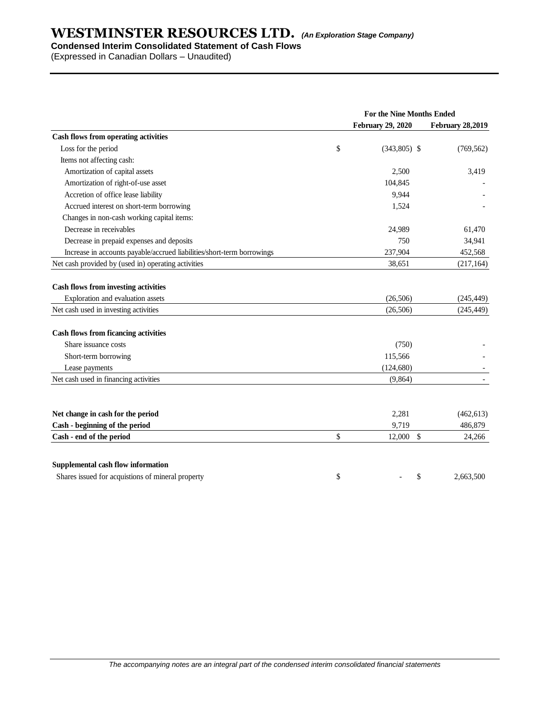### **Condensed Interim Consolidated Statement of Cash Flows**

(Expressed in Canadian Dollars – Unaudited)

|                                                                                  | For the Nine Months Ended |                         |  |  |  |  |
|----------------------------------------------------------------------------------|---------------------------|-------------------------|--|--|--|--|
|                                                                                  | <b>February 29, 2020</b>  | <b>February 28,2019</b> |  |  |  |  |
| Cash flows from operating activities                                             |                           |                         |  |  |  |  |
| Loss for the period                                                              | \$<br>$(343,805)$ \$      | (769, 562)              |  |  |  |  |
| Items not affecting cash:                                                        |                           |                         |  |  |  |  |
| Amortization of capital assets                                                   | 2,500                     | 3,419                   |  |  |  |  |
| Amortization of right-of-use asset                                               | 104,845                   |                         |  |  |  |  |
| Accretion of office lease liability                                              | 9,944                     |                         |  |  |  |  |
| Accrued interest on short-term borrowing                                         | 1,524                     |                         |  |  |  |  |
| Changes in non-cash working capital items:                                       |                           |                         |  |  |  |  |
| Decrease in receivables                                                          | 24,989                    | 61,470                  |  |  |  |  |
| Decrease in prepaid expenses and deposits                                        | 750                       | 34,941                  |  |  |  |  |
| Increase in accounts payable/accrued liabilities/short-term borrowings           | 237,904                   | 452,568                 |  |  |  |  |
| Net cash provided by (used in) operating activities                              | 38,651                    | (217, 164)              |  |  |  |  |
| <b>Cash flows from investing activities</b><br>Exploration and evaluation assets | (26, 506)                 | (245, 449)              |  |  |  |  |
| Net cash used in investing activities                                            | (26, 506)                 | (245, 449)              |  |  |  |  |
|                                                                                  |                           |                         |  |  |  |  |
| <b>Cash flows from ficancing activities</b>                                      |                           |                         |  |  |  |  |
| Share issuance costs                                                             | (750)                     |                         |  |  |  |  |
| Short-term borrowing                                                             | 115,566                   |                         |  |  |  |  |
| Lease payments                                                                   | (124, 680)                |                         |  |  |  |  |
| Net cash used in financing activities                                            | (9, 864)                  |                         |  |  |  |  |
|                                                                                  |                           |                         |  |  |  |  |
| Net change in cash for the period                                                | 2,281                     | (462, 613)              |  |  |  |  |
| Cash - beginning of the period                                                   | 9,719                     | 486,879                 |  |  |  |  |
| Cash - end of the period                                                         | \$<br>12,000<br>\$        | 24,266                  |  |  |  |  |
| Supplemental cash flow information                                               |                           |                         |  |  |  |  |
| Shares issued for acquistions of mineral property                                | \$<br>\$                  | 2,663,500               |  |  |  |  |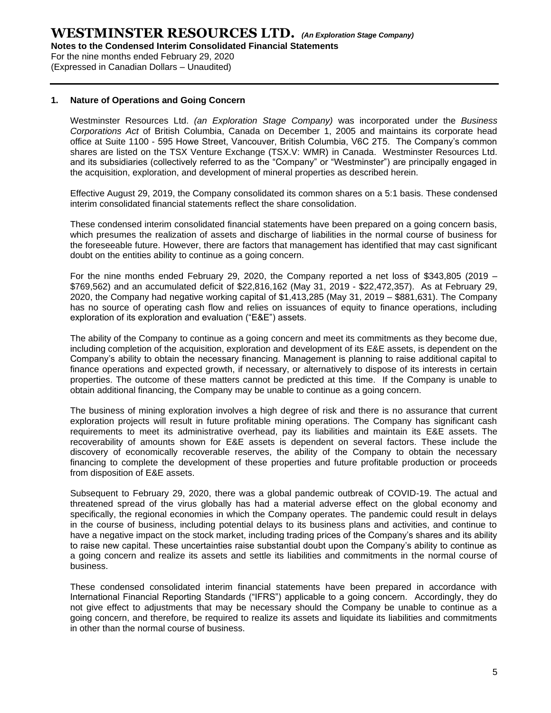For the nine months ended February 29, 2020 (Expressed in Canadian Dollars – Unaudited)

#### **1. Nature of Operations and Going Concern**

Westminster Resources Ltd. *(an Exploration Stage Company)* was incorporated under the *Business Corporations Act* of British Columbia, Canada on December 1, 2005 and maintains its corporate head office at Suite 1100 - 595 Howe Street, Vancouver, British Columbia, V6C 2T5. The Company's common shares are listed on the TSX Venture Exchange (TSX.V: WMR) in Canada. Westminster Resources Ltd. and its subsidiaries (collectively referred to as the "Company" or "Westminster") are principally engaged in the acquisition, exploration, and development of mineral properties as described herein.

Effective August 29, 2019, the Company consolidated its common shares on a 5:1 basis. These condensed interim consolidated financial statements reflect the share consolidation.

These condensed interim consolidated financial statements have been prepared on a going concern basis, which presumes the realization of assets and discharge of liabilities in the normal course of business for the foreseeable future. However, there are factors that management has identified that may cast significant doubt on the entities ability to continue as a going concern.

For the nine months ended February 29, 2020, the Company reported a net loss of \$343,805 (2019 – \$769,562) and an accumulated deficit of \$22,816,162 (May 31, 2019 - \$22,472,357). As at February 29, 2020, the Company had negative working capital of \$1,413,285 (May 31, 2019 – \$881,631). The Company has no source of operating cash flow and relies on issuances of equity to finance operations, including exploration of its exploration and evaluation ("E&E") assets.

The ability of the Company to continue as a going concern and meet its commitments as they become due, including completion of the acquisition, exploration and development of its E&E assets, is dependent on the Company's ability to obtain the necessary financing. Management is planning to raise additional capital to finance operations and expected growth, if necessary, or alternatively to dispose of its interests in certain properties. The outcome of these matters cannot be predicted at this time. If the Company is unable to obtain additional financing, the Company may be unable to continue as a going concern.

The business of mining exploration involves a high degree of risk and there is no assurance that current exploration projects will result in future profitable mining operations. The Company has significant cash requirements to meet its administrative overhead, pay its liabilities and maintain its E&E assets. The recoverability of amounts shown for E&E assets is dependent on several factors. These include the discovery of economically recoverable reserves, the ability of the Company to obtain the necessary financing to complete the development of these properties and future profitable production or proceeds from disposition of E&E assets.

Subsequent to February 29, 2020, there was a global pandemic outbreak of COVID-19. The actual and threatened spread of the virus globally has had a material adverse effect on the global economy and specifically, the regional economies in which the Company operates. The pandemic could result in delays in the course of business, including potential delays to its business plans and activities, and continue to have a negative impact on the stock market, including trading prices of the Company's shares and its ability to raise new capital. These uncertainties raise substantial doubt upon the Company's ability to continue as a going concern and realize its assets and settle its liabilities and commitments in the normal course of business.

These condensed consolidated interim financial statements have been prepared in accordance with International Financial Reporting Standards ("IFRS") applicable to a going concern. Accordingly, they do not give effect to adjustments that may be necessary should the Company be unable to continue as a going concern, and therefore, be required to realize its assets and liquidate its liabilities and commitments in other than the normal course of business.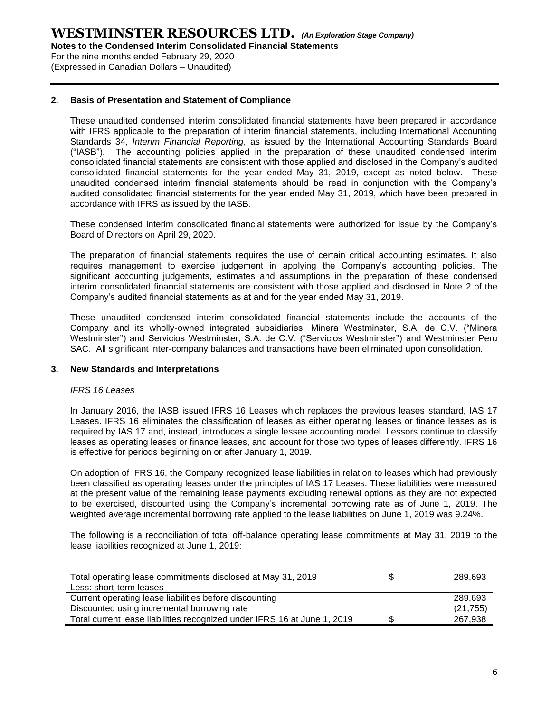For the nine months ended February 29, 2020 (Expressed in Canadian Dollars – Unaudited)

#### **2. Basis of Presentation and Statement of Compliance**

These unaudited condensed interim consolidated financial statements have been prepared in accordance with IFRS applicable to the preparation of interim financial statements, including International Accounting Standards 34, *Interim Financial Reporting*, as issued by the International Accounting Standards Board ("IASB"). The accounting policies applied in the preparation of these unaudited condensed interim consolidated financial statements are consistent with those applied and disclosed in the Company's audited consolidated financial statements for the year ended May 31, 2019, except as noted below. These unaudited condensed interim financial statements should be read in conjunction with the Company's audited consolidated financial statements for the year ended May 31, 2019, which have been prepared in accordance with IFRS as issued by the IASB.

These condensed interim consolidated financial statements were authorized for issue by the Company's Board of Directors on April 29, 2020.

The preparation of financial statements requires the use of certain critical accounting estimates. It also requires management to exercise judgement in applying the Company's accounting policies. The significant accounting judgements, estimates and assumptions in the preparation of these condensed interim consolidated financial statements are consistent with those applied and disclosed in Note 2 of the Company's audited financial statements as at and for the year ended May 31, 2019.

These unaudited condensed interim consolidated financial statements include the accounts of the Company and its wholly-owned integrated subsidiaries, Minera Westminster, S.A. de C.V. ("Minera Westminster") and Servicios Westminster, S.A. de C.V. ("Servicios Westminster") and Westminster Peru SAC. All significant inter-company balances and transactions have been eliminated upon consolidation.

#### **3. New Standards and Interpretations**

#### *IFRS 16 Leases*

In January 2016, the IASB issued IFRS 16 Leases which replaces the previous leases standard, IAS 17 Leases. IFRS 16 eliminates the classification of leases as either operating leases or finance leases as is required by IAS 17 and, instead, introduces a single lessee accounting model. Lessors continue to classify leases as operating leases or finance leases, and account for those two types of leases differently. IFRS 16 is effective for periods beginning on or after January 1, 2019.

On adoption of IFRS 16, the Company recognized lease liabilities in relation to leases which had previously been classified as operating leases under the principles of IAS 17 Leases. These liabilities were measured at the present value of the remaining lease payments excluding renewal options as they are not expected to be exercised, discounted using the Company's incremental borrowing rate as of June 1, 2019. The weighted average incremental borrowing rate applied to the lease liabilities on June 1, 2019 was 9.24%.

The following is a reconciliation of total off-balance operating lease commitments at May 31, 2019 to the lease liabilities recognized at June 1, 2019:

| Total operating lease commitments disclosed at May 31, 2019<br>Less: short-term leases | 289,693<br>- |
|----------------------------------------------------------------------------------------|--------------|
| Current operating lease liabilities before discounting                                 | 289.693      |
| Discounted using incremental borrowing rate                                            | (21, 755)    |
| Total current lease liabilities recognized under IFRS 16 at June 1, 2019               | 267,938      |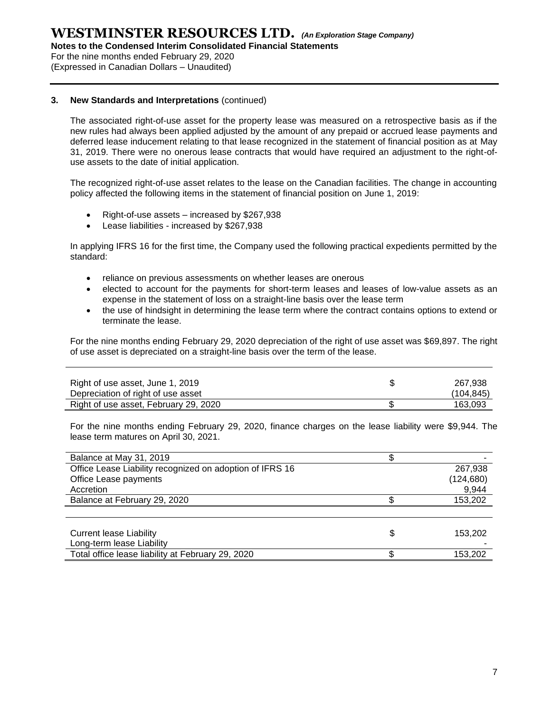**Notes to the Condensed Interim Consolidated Financial Statements**

For the nine months ended February 29, 2020

(Expressed in Canadian Dollars – Unaudited)

#### **3. New Standards and Interpretations** (continued)

The associated right-of-use asset for the property lease was measured on a retrospective basis as if the new rules had always been applied adjusted by the amount of any prepaid or accrued lease payments and deferred lease inducement relating to that lease recognized in the statement of financial position as at May 31, 2019. There were no onerous lease contracts that would have required an adjustment to the right-ofuse assets to the date of initial application.

The recognized right-of-use asset relates to the lease on the Canadian facilities. The change in accounting policy affected the following items in the statement of financial position on June 1, 2019:

- Right-of-use assets increased by \$267,938
- Lease liabilities increased by \$267,938

In applying IFRS 16 for the first time, the Company used the following practical expedients permitted by the standard:

- reliance on previous assessments on whether leases are onerous
- elected to account for the payments for short-term leases and leases of low-value assets as an expense in the statement of loss on a straight-line basis over the lease term
- the use of hindsight in determining the lease term where the contract contains options to extend or terminate the lease.

For the nine months ending February 29, 2020 depreciation of the right of use asset was \$69,897. The right of use asset is depreciated on a straight-line basis over the term of the lease.

| Right of use asset, June 1, 2019<br>Depreciation of right of use asset | 267.938<br>(104.845) |
|------------------------------------------------------------------------|----------------------|
| Right of use asset, February 29, 2020                                  | 163.093              |

For the nine months ending February 29, 2020, finance charges on the lease liability were \$9,944. The lease term matures on April 30, 2021.

| Balance at May 31, 2019                                  |            |
|----------------------------------------------------------|------------|
| Office Lease Liability recognized on adoption of IFRS 16 | 267,938    |
| Office Lease payments                                    | (124, 680) |
| Accretion                                                | 9,944      |
| Balance at February 29, 2020                             | 153,202    |
|                                                          |            |
|                                                          |            |
| <b>Current lease Liability</b>                           | 153,202    |
| Long-term lease Liability                                |            |
| Total office lease liability at February 29, 2020        | 153,202    |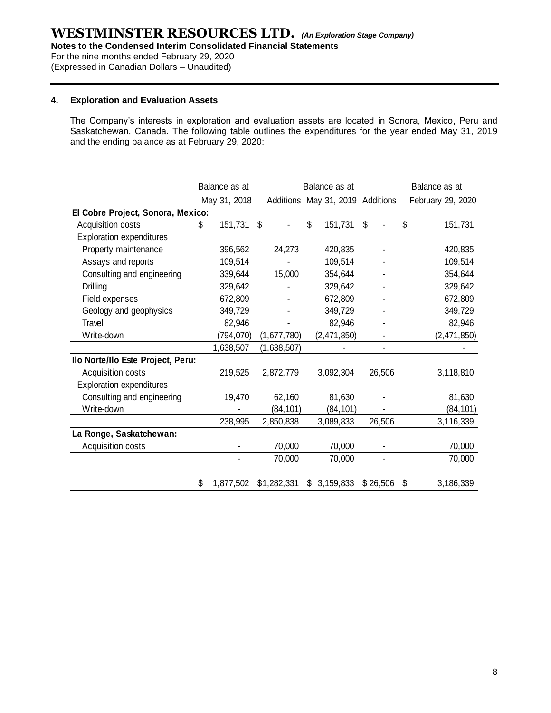**Notes to the Condensed Interim Consolidated Financial Statements**

For the nine months ended February 29, 2020

(Expressed in Canadian Dollars – Unaudited)

#### **4. Exploration and Evaluation Assets**

The Company's interests in exploration and evaluation assets are located in Sonora, Mexico, Peru and Saskatchewan, Canada. The following table outlines the expenditures for the year ended May 31, 2019 and the ending balance as at February 29, 2020:

|                                   | Balance as at<br>Balance as at |              |    |             |    |                                  | Balance as at |  |                   |
|-----------------------------------|--------------------------------|--------------|----|-------------|----|----------------------------------|---------------|--|-------------------|
|                                   |                                | May 31, 2018 |    |             |    | Additions May 31, 2019 Additions |               |  | February 29, 2020 |
| El Cobre Project, Sonora, Mexico: |                                |              |    |             |    |                                  |               |  |                   |
| Acquisition costs                 | \$                             | 151,731      | \$ |             | \$ | 151,731                          | \$            |  | \$<br>151,731     |
| Exploration expenditures          |                                |              |    |             |    |                                  |               |  |                   |
| Property maintenance              |                                | 396,562      |    | 24,273      |    | 420,835                          |               |  | 420,835           |
| Assays and reports                |                                | 109,514      |    |             |    | 109,514                          |               |  | 109,514           |
| Consulting and engineering        |                                | 339,644      |    | 15,000      |    | 354,644                          |               |  | 354,644           |
| <b>Drilling</b>                   |                                | 329,642      |    |             |    | 329,642                          |               |  | 329,642           |
| Field expenses                    |                                | 672,809      |    |             |    | 672,809                          |               |  | 672,809           |
| Geology and geophysics            |                                | 349,729      |    |             |    | 349,729                          |               |  | 349,729           |
| Travel                            |                                | 82,946       |    |             |    | 82,946                           |               |  | 82,946            |
| Write-down                        |                                | (794, 070)   |    | (1,677,780) |    | (2,471,850)                      |               |  | (2,471,850)       |
|                                   |                                | 1,638,507    |    | (1,638,507) |    |                                  | ۰             |  |                   |
| Ilo Norte/Ilo Este Project, Peru: |                                |              |    |             |    |                                  |               |  |                   |
| Acquisition costs                 |                                | 219,525      |    | 2,872,779   |    | 3,092,304                        | 26,506        |  | 3,118,810         |
| <b>Exploration expenditures</b>   |                                |              |    |             |    |                                  |               |  |                   |
| Consulting and engineering        |                                | 19,470       |    | 62,160      |    | 81,630                           |               |  | 81,630            |
| Write-down                        |                                |              |    | (84, 101)   |    | (84, 101)                        |               |  | (84, 101)         |
|                                   |                                | 238,995      |    | 2,850,838   |    | 3,089,833                        | 26,506        |  | 3,116,339         |
| La Ronge, Saskatchewan:           |                                |              |    |             |    |                                  |               |  |                   |
| Acquisition costs                 |                                |              |    | 70,000      |    | 70,000                           |               |  | 70,000            |
|                                   |                                |              |    | 70,000      |    | 70,000                           |               |  | 70,000            |
|                                   |                                |              |    |             |    |                                  |               |  |                   |
|                                   | \$                             | 1,877,502    |    | \$1,282,331 | \$ | 3,159,833                        | \$26,506      |  | \$<br>3,186,339   |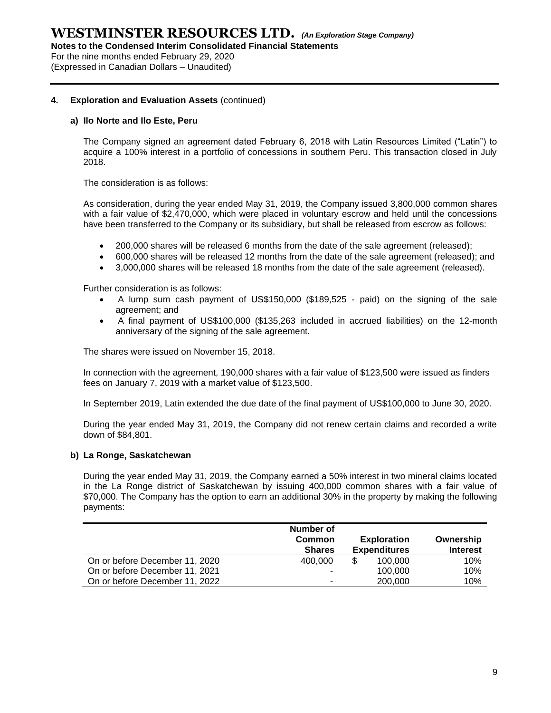**Notes to the Condensed Interim Consolidated Financial Statements**

For the nine months ended February 29, 2020 (Expressed in Canadian Dollars – Unaudited)

#### **4. Exploration and Evaluation Assets** (continued)

#### **a) Ilo Norte and Ilo Este, Peru**

The Company signed an agreement dated February 6, 2018 with Latin Resources Limited ("Latin") to acquire a 100% interest in a portfolio of concessions in southern Peru. This transaction closed in July 2018.

The consideration is as follows:

As consideration, during the year ended May 31, 2019, the Company issued 3,800,000 common shares with a fair value of \$2,470,000, which were placed in voluntary escrow and held until the concessions have been transferred to the Company or its subsidiary, but shall be released from escrow as follows:

- 200,000 shares will be released 6 months from the date of the sale agreement (released);
- 600,000 shares will be released 12 months from the date of the sale agreement (released); and
- 3,000,000 shares will be released 18 months from the date of the sale agreement (released).

Further consideration is as follows:

- A lump sum cash payment of US\$150,000 (\$189,525 paid) on the signing of the sale agreement; and
- A final payment of US\$100,000 (\$135,263 included in accrued liabilities) on the 12-month anniversary of the signing of the sale agreement.

The shares were issued on November 15, 2018.

In connection with the agreement, 190,000 shares with a fair value of \$123,500 were issued as finders fees on January 7, 2019 with a market value of \$123,500.

In September 2019, Latin extended the due date of the final payment of US\$100,000 to June 30, 2020.

During the year ended May 31, 2019, the Company did not renew certain claims and recorded a write down of \$84,801.

#### **b) La Ronge, Saskatchewan**

During the year ended May 31, 2019, the Company earned a 50% interest in two mineral claims located in the La Ronge district of Saskatchewan by issuing 400,000 common shares with a fair value of \$70,000. The Company has the option to earn an additional 30% in the property by making the following payments:

|                                | Number of<br><b>Common</b><br><b>Shares</b> | <b>Exploration</b><br><b>Expenditures</b> | Ownership<br><b>Interest</b> |
|--------------------------------|---------------------------------------------|-------------------------------------------|------------------------------|
| On or before December 11, 2020 | 400,000                                     | \$<br>100.000                             | 10%                          |
| On or before December 11, 2021 |                                             | 100,000                                   | 10%                          |
| On or before December 11, 2022 | -                                           | 200,000                                   | 10%                          |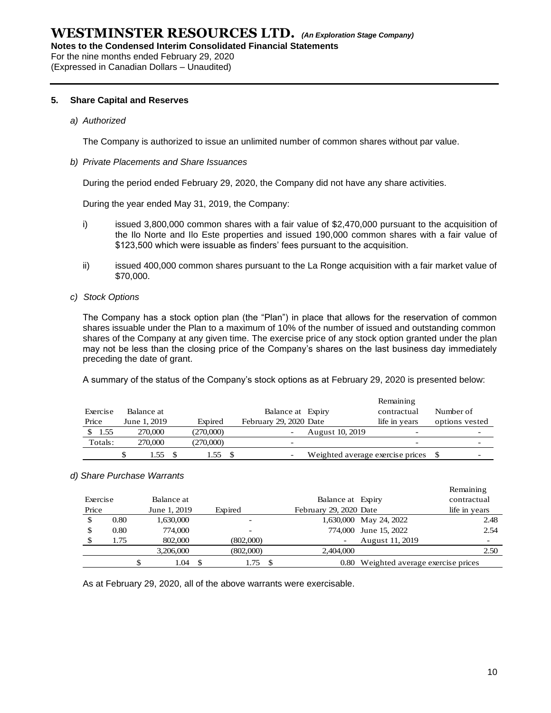**Notes to the Condensed Interim Consolidated Financial Statements**

For the nine months ended February 29, 2020 (Expressed in Canadian Dollars – Unaudited)

#### **5. Share Capital and Reserves**

#### *a) Authorized*

The Company is authorized to issue an unlimited number of common shares without par value.

#### *b) Private Placements and Share Issuances*

During the period ended February 29, 2020, the Company did not have any share activities.

During the year ended May 31, 2019, the Company:

- i) issued 3,800,000 common shares with a fair value of \$2,470,000 pursuant to the acquisition of the Ilo Norte and Ilo Este properties and issued 190,000 common shares with a fair value of \$123,500 which were issuable as finders' fees pursuant to the acquisition.
- ii) issued 400,000 common shares pursuant to the La Ronge acquisition with a fair market value of \$70,000.
- *c) Stock Options*

The Company has a stock option plan (the "Plan") in place that allows for the reservation of common shares issuable under the Plan to a maximum of 10% of the number of issued and outstanding common shares of the Company at any given time. The exercise price of any stock option granted under the plan may not be less than the closing price of the Company's shares on the last business day immediately preceding the date of grant.

A summary of the status of the Company's stock options as at February 29, 2020 is presented below:

|          |              |           |                        |                                     | Remaining                |                |
|----------|--------------|-----------|------------------------|-------------------------------------|--------------------------|----------------|
| Exercise | Balance at   |           | Balance at Expiry      |                                     | contractual              | Number of      |
| Price    | June 1, 2019 | Expired   | February 29, 2020 Date |                                     | life in years            | options vested |
| 1.55     | 270,000      | (270,000) |                        | August 10, 2019                     | $\overline{\phantom{0}}$ |                |
| Totals:  | 270.000      | (270,000) |                        |                                     | $\overline{\phantom{a}}$ |                |
|          | 1.55         | 1.55      |                        | Weighted average exercise prices \$ |                          |                |

#### *d) Share Purchase Warrants*

|          |      |              |           |                        |                                       | Remaining     |      |
|----------|------|--------------|-----------|------------------------|---------------------------------------|---------------|------|
| Exercise |      | Balance at   |           | Balance at Expiry      |                                       | contractual   |      |
| Price    |      | June 1, 2019 | Expired   | February 29, 2020 Date |                                       | life in years |      |
| \$       | 0.80 | 1,630,000    |           |                        | 1,630,000 May 24, 2022                |               | 2.48 |
|          | 0.80 | 774,000      | -         |                        | 774,000 June 15, 2022                 |               | 2.54 |
|          | 1.75 | 802,000      | (802,000) |                        | August 11, 2019                       |               |      |
|          |      | 3.206.000    | (802,000) | 2.404,000              |                                       |               | 2.50 |
|          |      | 1.04         | 1.75      |                        | 0.80 Weighted average exercise prices |               |      |

As at February 29, 2020, all of the above warrants were exercisable.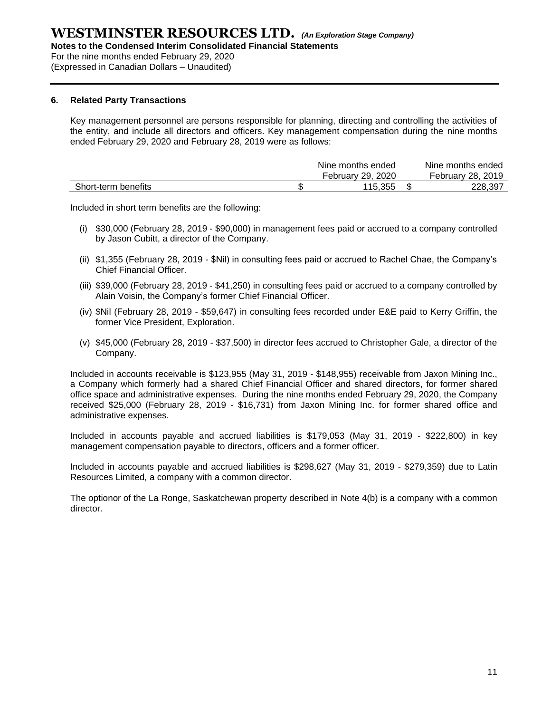**Notes to the Condensed Interim Consolidated Financial Statements**

For the nine months ended February 29, 2020

(Expressed in Canadian Dollars – Unaudited)

#### **6. Related Party Transactions**

Key management personnel are persons responsible for planning, directing and controlling the activities of the entity, and include all directors and officers. Key management compensation during the nine months ended February 29, 2020 and February 28, 2019 were as follows:

|                     | Nine months ended | Nine months ended |
|---------------------|-------------------|-------------------|
|                     | February 29, 2020 | February 28, 2019 |
| Short-term benefits | 115.355           | 228.397           |

Included in short term benefits are the following:

- (i) \$30,000 (February 28, 2019 \$90,000) in management fees paid or accrued to a company controlled by Jason Cubitt, a director of the Company.
- (ii) \$1,355 (February 28, 2019 \$Nil) in consulting fees paid or accrued to Rachel Chae, the Company's Chief Financial Officer.
- (iii) \$39,000 (February 28, 2019 \$41,250) in consulting fees paid or accrued to a company controlled by Alain Voisin, the Company's former Chief Financial Officer.
- (iv) \$Nil (February 28, 2019 \$59,647) in consulting fees recorded under E&E paid to Kerry Griffin, the former Vice President, Exploration.
- (v) \$45,000 (February 28, 2019 \$37,500) in director fees accrued to Christopher Gale, a director of the Company.

Included in accounts receivable is \$123,955 (May 31, 2019 - \$148,955) receivable from Jaxon Mining Inc., a Company which formerly had a shared Chief Financial Officer and shared directors, for former shared office space and administrative expenses. During the nine months ended February 29, 2020, the Company received \$25,000 (February 28, 2019 - \$16,731) from Jaxon Mining Inc. for former shared office and administrative expenses.

Included in accounts payable and accrued liabilities is \$179,053 (May 31, 2019 - \$222,800) in key management compensation payable to directors, officers and a former officer.

Included in accounts payable and accrued liabilities is \$298,627 (May 31, 2019 - \$279,359) due to Latin Resources Limited, a company with a common director.

The optionor of the La Ronge, Saskatchewan property described in Note 4(b) is a company with a common director.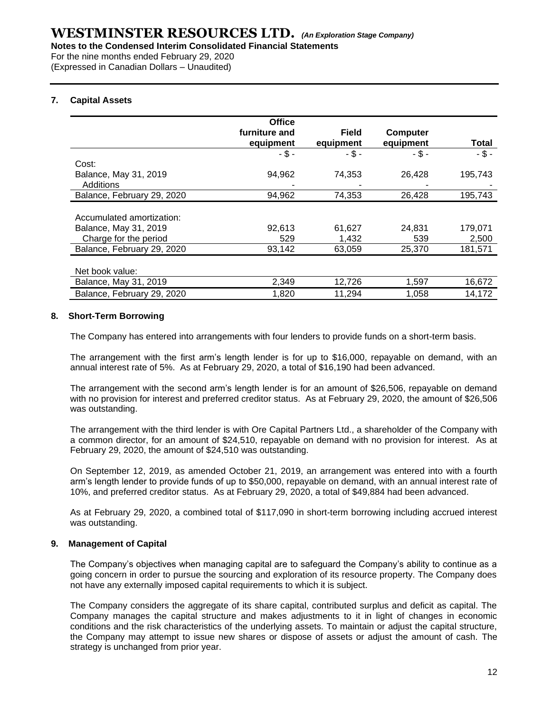For the nine months ended February 29, 2020 (Expressed in Canadian Dollars – Unaudited)

#### **7. Capital Assets**

|                            | <b>Office</b> |              |                 |          |
|----------------------------|---------------|--------------|-----------------|----------|
|                            | furniture and | <b>Field</b> | <b>Computer</b> |          |
|                            | equipment     | equipment    | equipment       | Total    |
|                            | $-5 -$        | -\$-         | $-$ \$ -        | $-$ \$ - |
| Cost:                      |               |              |                 |          |
| Balance, May 31, 2019      | 94,962        | 74,353       | 26,428          | 195,743  |
| Additions                  |               |              |                 |          |
| Balance, February 29, 2020 | 94,962        | 74,353       | 26,428          | 195,743  |
|                            |               |              |                 |          |
| Accumulated amortization:  |               |              |                 |          |
| Balance, May 31, 2019      | 92,613        | 61,627       | 24,831          | 179,071  |
| Charge for the period      | 529           | 1,432        | 539             | 2,500    |
| Balance, February 29, 2020 | 93,142        | 63,059       | 25,370          | 181,571  |
|                            |               |              |                 |          |
| Net book value:            |               |              |                 |          |
| Balance, May 31, 2019      | 2,349         | 12,726       | 1,597           | 16,672   |
| Balance, February 29, 2020 | 1,820         | 11,294       | 1,058           | 14,172   |

#### **8. Short-Term Borrowing**

The Company has entered into arrangements with four lenders to provide funds on a short-term basis.

The arrangement with the first arm's length lender is for up to \$16,000, repayable on demand, with an annual interest rate of 5%. As at February 29, 2020, a total of \$16,190 had been advanced.

The arrangement with the second arm's length lender is for an amount of \$26,506, repayable on demand with no provision for interest and preferred creditor status. As at February 29, 2020, the amount of \$26,506 was outstanding.

The arrangement with the third lender is with Ore Capital Partners Ltd., a shareholder of the Company with a common director, for an amount of \$24,510, repayable on demand with no provision for interest. As at February 29, 2020, the amount of \$24,510 was outstanding.

On September 12, 2019, as amended October 21, 2019, an arrangement was entered into with a fourth arm's length lender to provide funds of up to \$50,000, repayable on demand, with an annual interest rate of 10%, and preferred creditor status. As at February 29, 2020, a total of \$49,884 had been advanced.

As at February 29, 2020, a combined total of \$117,090 in short-term borrowing including accrued interest was outstanding.

#### **9. Management of Capital**

The Company's objectives when managing capital are to safeguard the Company's ability to continue as a going concern in order to pursue the sourcing and exploration of its resource property. The Company does not have any externally imposed capital requirements to which it is subject.

The Company considers the aggregate of its share capital, contributed surplus and deficit as capital. The Company manages the capital structure and makes adjustments to it in light of changes in economic conditions and the risk characteristics of the underlying assets. To maintain or adjust the capital structure, the Company may attempt to issue new shares or dispose of assets or adjust the amount of cash. The strategy is unchanged from prior year.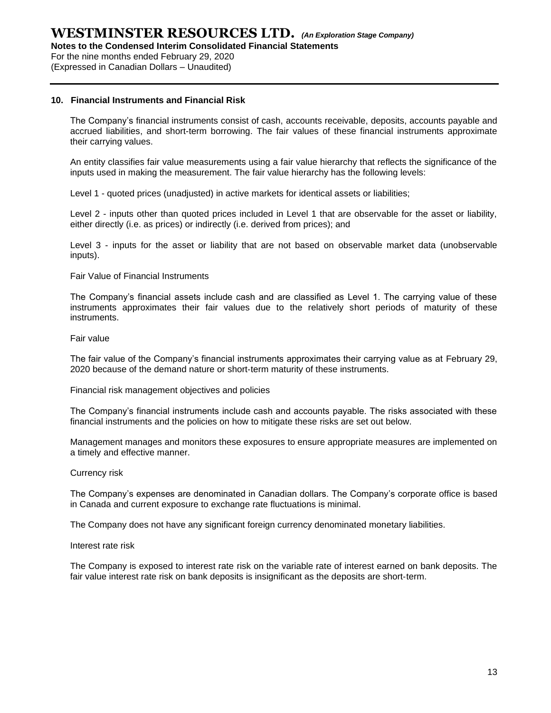For the nine months ended February 29, 2020

(Expressed in Canadian Dollars – Unaudited)

#### **10. Financial Instruments and Financial Risk**

The Company's financial instruments consist of cash, accounts receivable, deposits, accounts payable and accrued liabilities, and short-term borrowing. The fair values of these financial instruments approximate their carrying values.

An entity classifies fair value measurements using a fair value hierarchy that reflects the significance of the inputs used in making the measurement. The fair value hierarchy has the following levels:

Level 1 - quoted prices (unadjusted) in active markets for identical assets or liabilities;

Level 2 - inputs other than quoted prices included in Level 1 that are observable for the asset or liability, either directly (i.e. as prices) or indirectly (i.e. derived from prices); and

Level 3 - inputs for the asset or liability that are not based on observable market data (unobservable inputs).

Fair Value of Financial Instruments

The Company's financial assets include cash and are classified as Level 1. The carrying value of these instruments approximates their fair values due to the relatively short periods of maturity of these instruments.

#### Fair value

The fair value of the Company's financial instruments approximates their carrying value as at February 29, 2020 because of the demand nature or short‐term maturity of these instruments.

Financial risk management objectives and policies

The Company's financial instruments include cash and accounts payable. The risks associated with these financial instruments and the policies on how to mitigate these risks are set out below.

Management manages and monitors these exposures to ensure appropriate measures are implemented on a timely and effective manner.

#### Currency risk

The Company's expenses are denominated in Canadian dollars. The Company's corporate office is based in Canada and current exposure to exchange rate fluctuations is minimal.

The Company does not have any significant foreign currency denominated monetary liabilities.

#### Interest rate risk

The Company is exposed to interest rate risk on the variable rate of interest earned on bank deposits. The fair value interest rate risk on bank deposits is insignificant as the deposits are short-term.